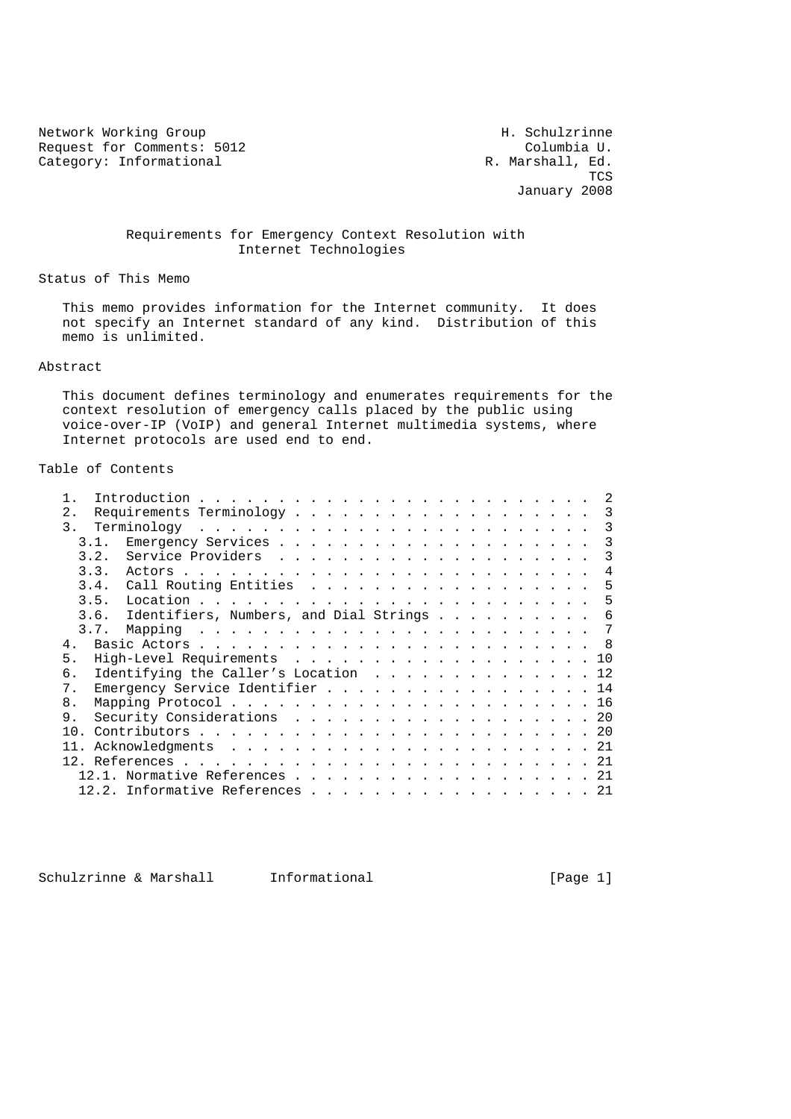Network Working Group<br>Request for Comments: 5012 The Media of Columbia U. Request for Comments: 5012 Columbia U.<br>
Category: Informational R. Marshall, Ed. Category: Informational

**The Contract of the Contract of the Contract of the Contract of the Contract of the Contract of the Contract of the Contract of the Contract of the Contract of the Contract of the Contract of the Contract of the Contract** January 2008

# Requirements for Emergency Context Resolution with Internet Technologies

Status of This Memo

 This memo provides information for the Internet community. It does not specify an Internet standard of any kind. Distribution of this memo is unlimited.

# Abstract

 This document defines terminology and enumerates requirements for the context resolution of emergency calls placed by the public using voice-over-IP (VoIP) and general Internet multimedia systems, where Internet protocols are used end to end.

# Table of Contents

| 2.    |      |                                                        |  |  |  |  |   |
|-------|------|--------------------------------------------------------|--|--|--|--|---|
| 3.    |      |                                                        |  |  |  |  |   |
|       | 3.1. |                                                        |  |  |  |  | 3 |
|       | 3.2. |                                                        |  |  |  |  | 3 |
|       | 3.3. |                                                        |  |  |  |  | 4 |
|       |      | 3.4. Call Routing Entities 5                           |  |  |  |  |   |
|       | 3.5. |                                                        |  |  |  |  |   |
|       |      | 3.6. Identifiers, Numbers, and Dial Strings $\ldots$ 6 |  |  |  |  |   |
|       | 3.7. |                                                        |  |  |  |  |   |
| $4$ . |      |                                                        |  |  |  |  |   |
| 5.    |      | High-Level Requirements 10                             |  |  |  |  |   |
| б.    |      | Identifying the Caller's Location 12                   |  |  |  |  |   |
| 7.    |      | Emergency Service Identifier 14                        |  |  |  |  |   |
| 8.    |      |                                                        |  |  |  |  |   |
| 9.    |      | Security Considerations 20                             |  |  |  |  |   |
| 1 N   |      |                                                        |  |  |  |  |   |
|       |      |                                                        |  |  |  |  |   |
|       |      |                                                        |  |  |  |  |   |
|       |      | $12.1.$ Normative References 21                        |  |  |  |  |   |
|       |      | 12.2. Informative References 21                        |  |  |  |  |   |

Schulzrinne & Marshall Informational [Page 1]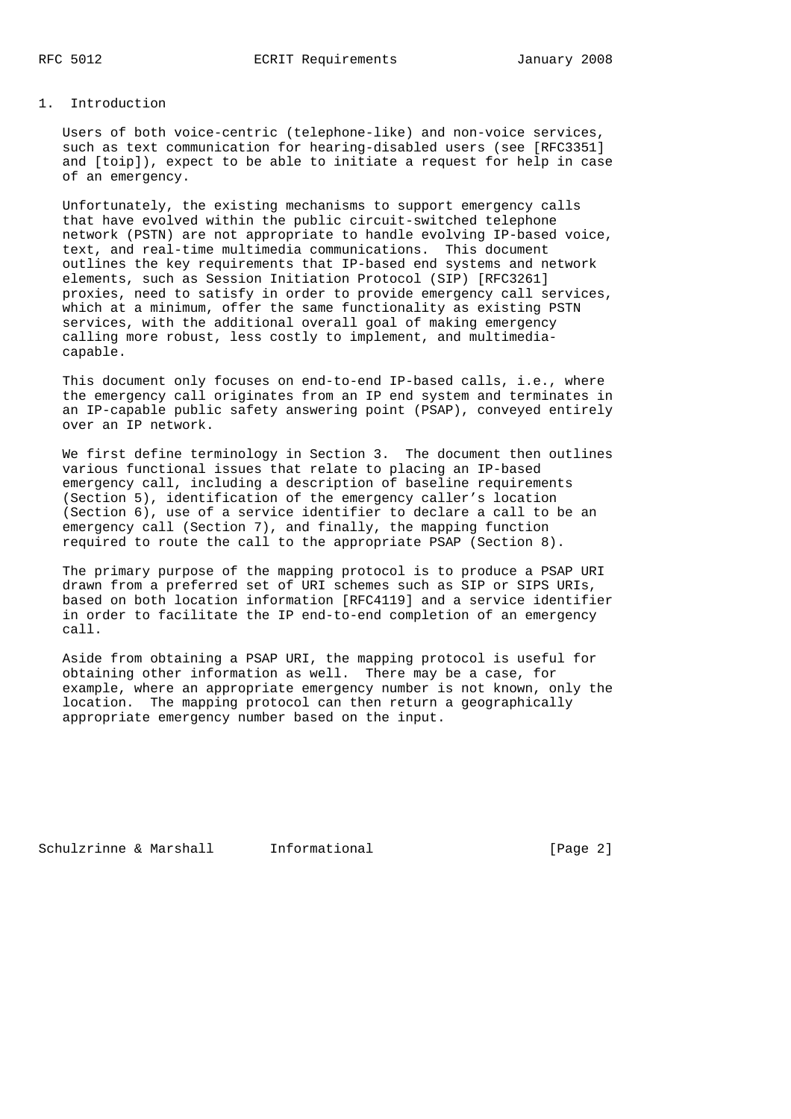## 1. Introduction

 Users of both voice-centric (telephone-like) and non-voice services, such as text communication for hearing-disabled users (see [RFC3351] and [toip]), expect to be able to initiate a request for help in case of an emergency.

 Unfortunately, the existing mechanisms to support emergency calls that have evolved within the public circuit-switched telephone network (PSTN) are not appropriate to handle evolving IP-based voice, text, and real-time multimedia communications. This document outlines the key requirements that IP-based end systems and network elements, such as Session Initiation Protocol (SIP) [RFC3261] proxies, need to satisfy in order to provide emergency call services, which at a minimum, offer the same functionality as existing PSTN services, with the additional overall goal of making emergency calling more robust, less costly to implement, and multimedia capable.

 This document only focuses on end-to-end IP-based calls, i.e., where the emergency call originates from an IP end system and terminates in an IP-capable public safety answering point (PSAP), conveyed entirely over an IP network.

 We first define terminology in Section 3. The document then outlines various functional issues that relate to placing an IP-based emergency call, including a description of baseline requirements (Section 5), identification of the emergency caller's location (Section 6), use of a service identifier to declare a call to be an emergency call (Section 7), and finally, the mapping function required to route the call to the appropriate PSAP (Section 8).

 The primary purpose of the mapping protocol is to produce a PSAP URI drawn from a preferred set of URI schemes such as SIP or SIPS URIs, based on both location information [RFC4119] and a service identifier in order to facilitate the IP end-to-end completion of an emergency call.

 Aside from obtaining a PSAP URI, the mapping protocol is useful for obtaining other information as well. There may be a case, for example, where an appropriate emergency number is not known, only the location. The mapping protocol can then return a geographically appropriate emergency number based on the input.

Schulzrinne & Marshall Informational [Page 2]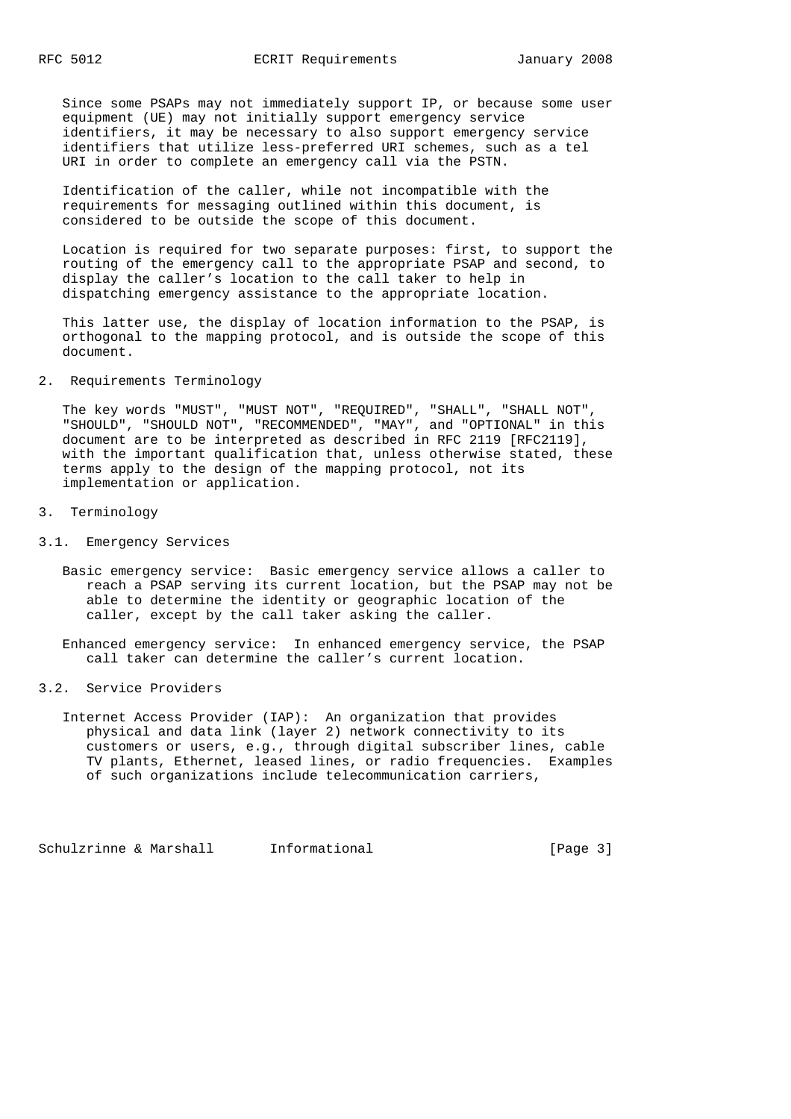Since some PSAPs may not immediately support IP, or because some user equipment (UE) may not initially support emergency service identifiers, it may be necessary to also support emergency service identifiers that utilize less-preferred URI schemes, such as a tel URI in order to complete an emergency call via the PSTN.

 Identification of the caller, while not incompatible with the requirements for messaging outlined within this document, is considered to be outside the scope of this document.

 Location is required for two separate purposes: first, to support the routing of the emergency call to the appropriate PSAP and second, to display the caller's location to the call taker to help in dispatching emergency assistance to the appropriate location.

 This latter use, the display of location information to the PSAP, is orthogonal to the mapping protocol, and is outside the scope of this document.

# 2. Requirements Terminology

 The key words "MUST", "MUST NOT", "REQUIRED", "SHALL", "SHALL NOT", "SHOULD", "SHOULD NOT", "RECOMMENDED", "MAY", and "OPTIONAL" in this document are to be interpreted as described in RFC 2119 [RFC2119], with the important qualification that, unless otherwise stated, these terms apply to the design of the mapping protocol, not its implementation or application.

#### 3. Terminology

- 3.1. Emergency Services
	- Basic emergency service: Basic emergency service allows a caller to reach a PSAP serving its current location, but the PSAP may not be able to determine the identity or geographic location of the caller, except by the call taker asking the caller.

 Enhanced emergency service: In enhanced emergency service, the PSAP call taker can determine the caller's current location.

### 3.2. Service Providers

 Internet Access Provider (IAP): An organization that provides physical and data link (layer 2) network connectivity to its customers or users, e.g., through digital subscriber lines, cable TV plants, Ethernet, leased lines, or radio frequencies. Examples of such organizations include telecommunication carriers,

Schulzrinne & Marshall Informational [Page 3]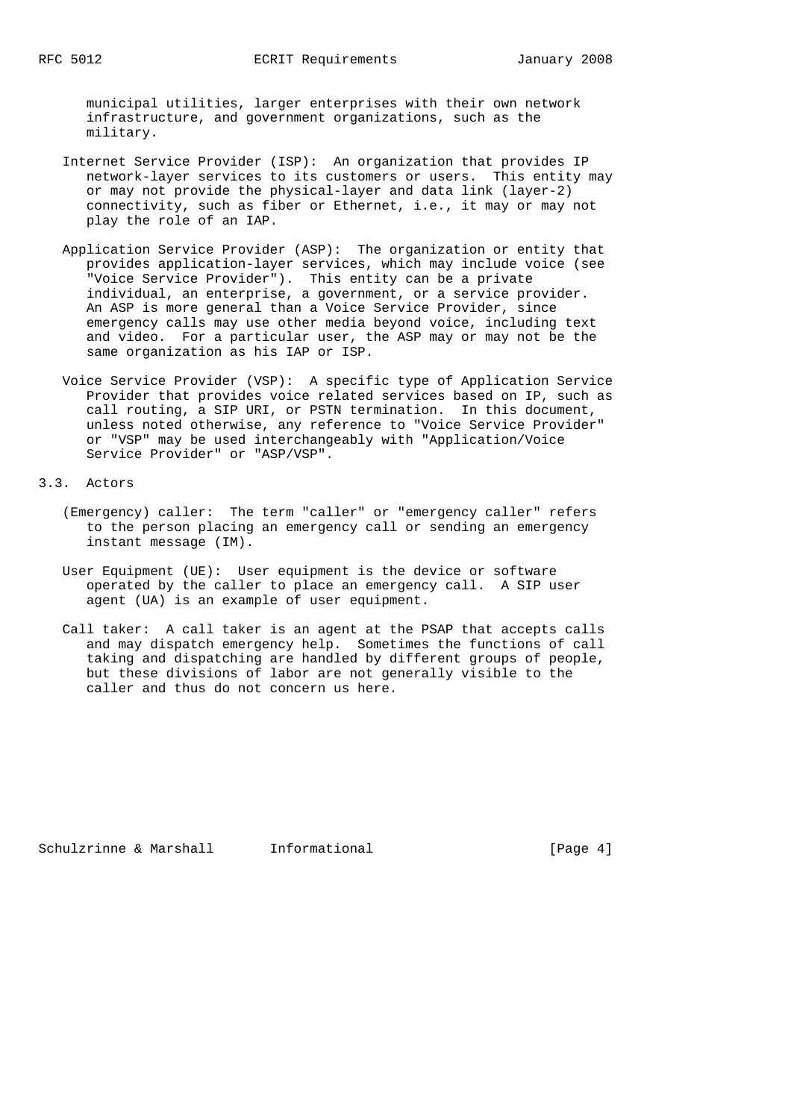municipal utilities, larger enterprises with their own network infrastructure, and government organizations, such as the military.

- Internet Service Provider (ISP): An organization that provides IP network-layer services to its customers or users. This entity may or may not provide the physical-layer and data link (layer-2) connectivity, such as fiber or Ethernet, i.e., it may or may not play the role of an IAP.
- Application Service Provider (ASP): The organization or entity that provides application-layer services, which may include voice (see "Voice Service Provider"). This entity can be a private individual, an enterprise, a government, or a service provider. An ASP is more general than a Voice Service Provider, since emergency calls may use other media beyond voice, including text and video. For a particular user, the ASP may or may not be the same organization as his IAP or ISP.
- Voice Service Provider (VSP): A specific type of Application Service Provider that provides voice related services based on IP, such as call routing, a SIP URI, or PSTN termination. In this document, unless noted otherwise, any reference to "Voice Service Provider" or "VSP" may be used interchangeably with "Application/Voice Service Provider" or "ASP/VSP".

3.3. Actors

- (Emergency) caller: The term "caller" or "emergency caller" refers to the person placing an emergency call or sending an emergency instant message (IM).
- User Equipment (UE): User equipment is the device or software operated by the caller to place an emergency call. A SIP user agent (UA) is an example of user equipment.
- Call taker: A call taker is an agent at the PSAP that accepts calls and may dispatch emergency help. Sometimes the functions of call taking and dispatching are handled by different groups of people, but these divisions of labor are not generally visible to the caller and thus do not concern us here.

Schulzrinne & Marshall Informational [Page 4]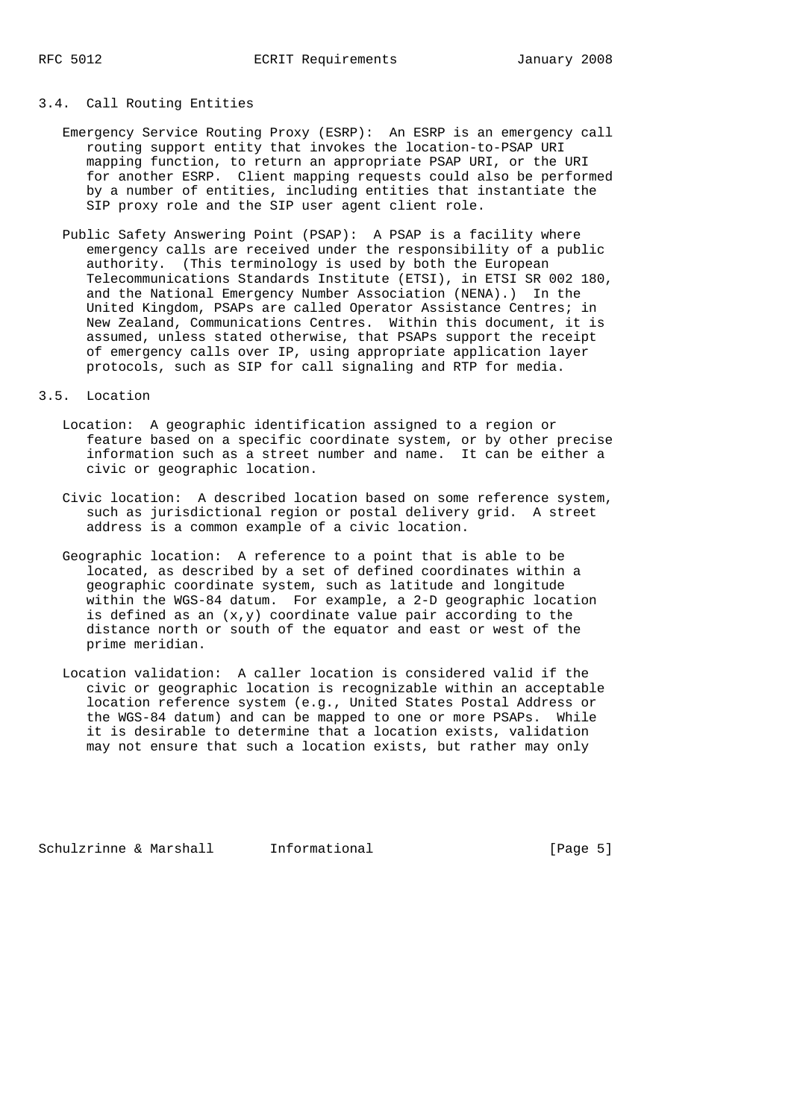### 3.4. Call Routing Entities

- Emergency Service Routing Proxy (ESRP): An ESRP is an emergency call routing support entity that invokes the location-to-PSAP URI mapping function, to return an appropriate PSAP URI, or the URI for another ESRP. Client mapping requests could also be performed by a number of entities, including entities that instantiate the SIP proxy role and the SIP user agent client role.
- Public Safety Answering Point (PSAP): A PSAP is a facility where emergency calls are received under the responsibility of a public authority. (This terminology is used by both the European Telecommunications Standards Institute (ETSI), in ETSI SR 002 180, and the National Emergency Number Association (NENA).) In the United Kingdom, PSAPs are called Operator Assistance Centres; in New Zealand, Communications Centres. Within this document, it is assumed, unless stated otherwise, that PSAPs support the receipt of emergency calls over IP, using appropriate application layer protocols, such as SIP for call signaling and RTP for media.

# 3.5. Location

- Location: A geographic identification assigned to a region or feature based on a specific coordinate system, or by other precise information such as a street number and name. It can be either a civic or geographic location.
- Civic location: A described location based on some reference system, such as jurisdictional region or postal delivery grid. A street address is a common example of a civic location.
- Geographic location: A reference to a point that is able to be located, as described by a set of defined coordinates within a geographic coordinate system, such as latitude and longitude within the WGS-84 datum. For example, a 2-D geographic location is defined as an  $(x,y)$  coordinate value pair according to the distance north or south of the equator and east or west of the prime meridian.
- Location validation: A caller location is considered valid if the civic or geographic location is recognizable within an acceptable location reference system (e.g., United States Postal Address or the WGS-84 datum) and can be mapped to one or more PSAPs. While it is desirable to determine that a location exists, validation may not ensure that such a location exists, but rather may only

Schulzrinne & Marshall Informational [Page 5]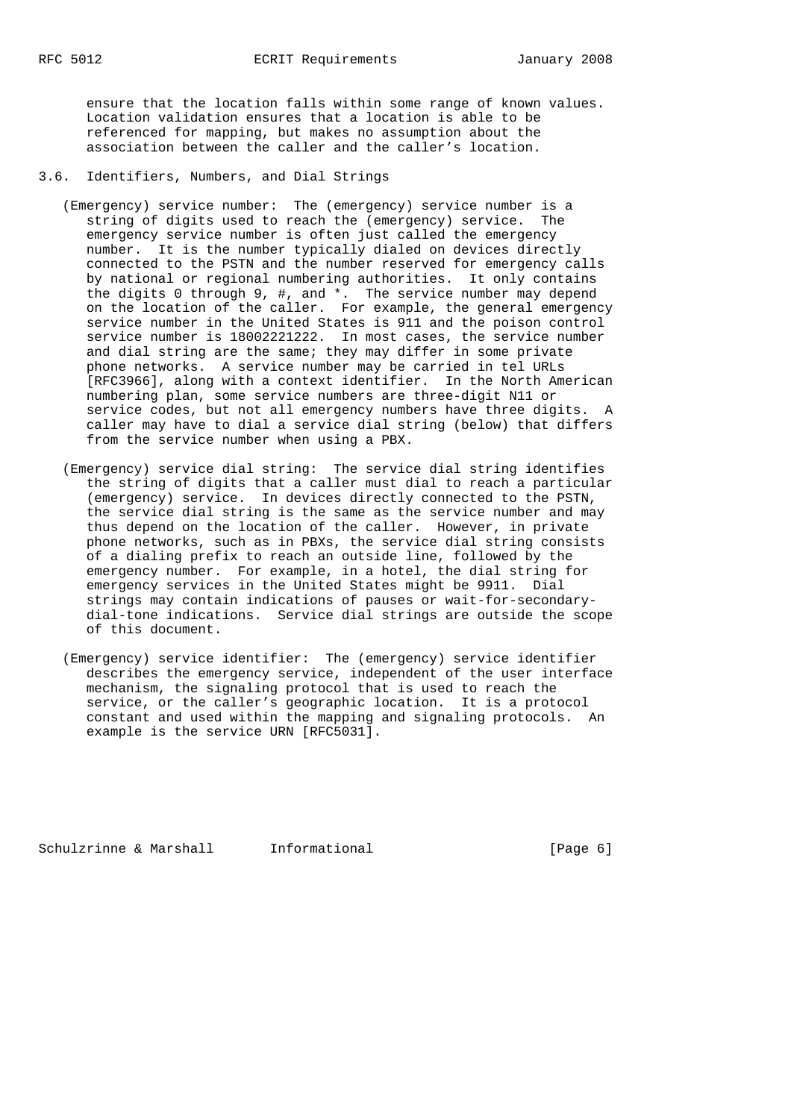ensure that the location falls within some range of known values. Location validation ensures that a location is able to be referenced for mapping, but makes no assumption about the association between the caller and the caller's location.

# 3.6. Identifiers, Numbers, and Dial Strings

- (Emergency) service number: The (emergency) service number is a string of digits used to reach the (emergency) service. The emergency service number is often just called the emergency number. It is the number typically dialed on devices directly connected to the PSTN and the number reserved for emergency calls by national or regional numbering authorities. It only contains the digits 0 through 9, #, and \*. The service number may depend on the location of the caller. For example, the general emergency service number in the United States is 911 and the poison control service number is 18002221222. In most cases, the service number and dial string are the same; they may differ in some private phone networks. A service number may be carried in tel URLs [RFC3966], along with a context identifier. In the North American numbering plan, some service numbers are three-digit N11 or service codes, but not all emergency numbers have three digits. A caller may have to dial a service dial string (below) that differs from the service number when using a PBX.
	- (Emergency) service dial string: The service dial string identifies the string of digits that a caller must dial to reach a particular (emergency) service. In devices directly connected to the PSTN, the service dial string is the same as the service number and may thus depend on the location of the caller. However, in private phone networks, such as in PBXs, the service dial string consists of a dialing prefix to reach an outside line, followed by the emergency number. For example, in a hotel, the dial string for emergency services in the United States might be 9911. Dial strings may contain indications of pauses or wait-for-secondary dial-tone indications. Service dial strings are outside the scope of this document.
	- (Emergency) service identifier: The (emergency) service identifier describes the emergency service, independent of the user interface mechanism, the signaling protocol that is used to reach the service, or the caller's geographic location. It is a protocol constant and used within the mapping and signaling protocols. An example is the service URN [RFC5031].

Schulzrinne & Marshall Informational (Page 6)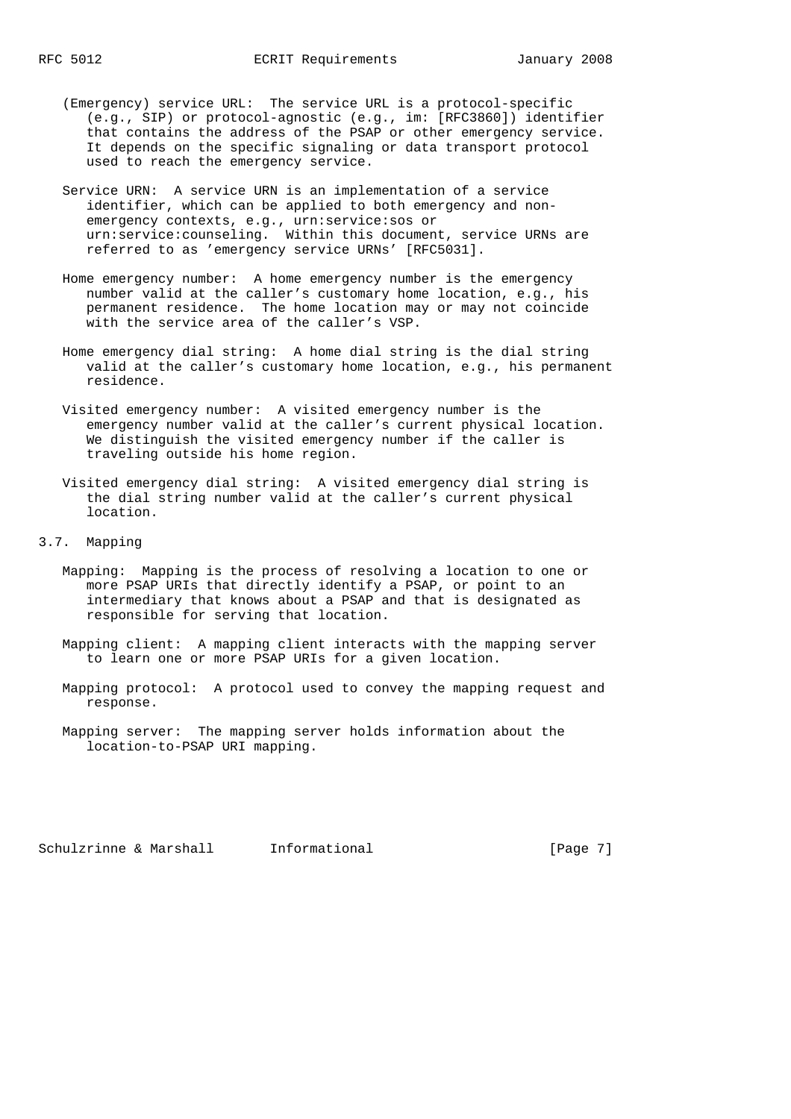- (Emergency) service URL: The service URL is a protocol-specific (e.g., SIP) or protocol-agnostic (e.g., im: [RFC3860]) identifier that contains the address of the PSAP or other emergency service. It depends on the specific signaling or data transport protocol used to reach the emergency service.
- Service URN: A service URN is an implementation of a service identifier, which can be applied to both emergency and non emergency contexts, e.g., urn:service:sos or urn:service:counseling. Within this document, service URNs are referred to as 'emergency service URNs' [RFC5031].
- Home emergency number: A home emergency number is the emergency number valid at the caller's customary home location, e.g., his permanent residence. The home location may or may not coincide with the service area of the caller's VSP.
- Home emergency dial string: A home dial string is the dial string valid at the caller's customary home location, e.g., his permanent residence.
- Visited emergency number: A visited emergency number is the emergency number valid at the caller's current physical location. We distinguish the visited emergency number if the caller is traveling outside his home region.
- Visited emergency dial string: A visited emergency dial string is the dial string number valid at the caller's current physical location.
- 3.7. Mapping
	- Mapping: Mapping is the process of resolving a location to one or more PSAP URIs that directly identify a PSAP, or point to an intermediary that knows about a PSAP and that is designated as responsible for serving that location.
	- Mapping client: A mapping client interacts with the mapping server to learn one or more PSAP URIs for a given location.
	- Mapping protocol: A protocol used to convey the mapping request and response.
	- Mapping server: The mapping server holds information about the location-to-PSAP URI mapping.

Schulzrinne & Marshall Informational [Page 7]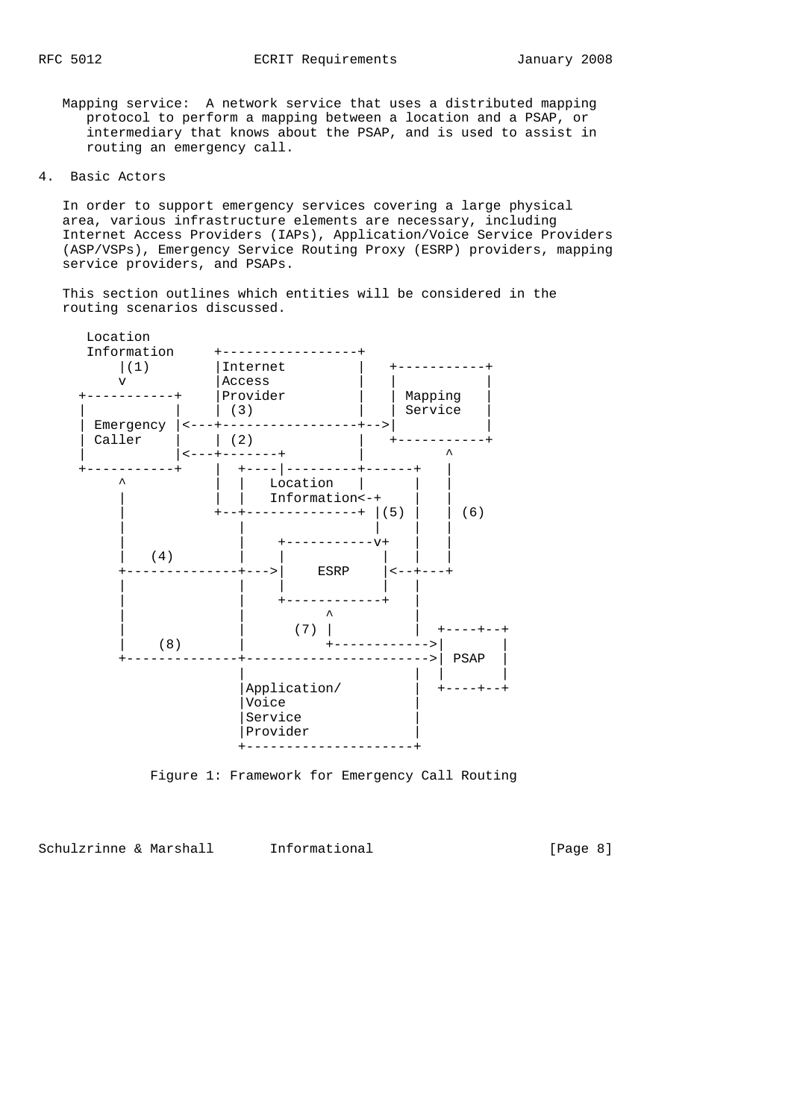Mapping service: A network service that uses a distributed mapping protocol to perform a mapping between a location and a PSAP, or intermediary that knows about the PSAP, and is used to assist in routing an emergency call.

4. Basic Actors

 In order to support emergency services covering a large physical area, various infrastructure elements are necessary, including Internet Access Providers (IAPs), Application/Voice Service Providers (ASP/VSPs), Emergency Service Routing Proxy (ESRP) providers, mapping service providers, and PSAPs.

 This section outlines which entities will be considered in the routing scenarios discussed.



Figure 1: Framework for Emergency Call Routing

Schulzrinne & Marshall Informational [Page 8]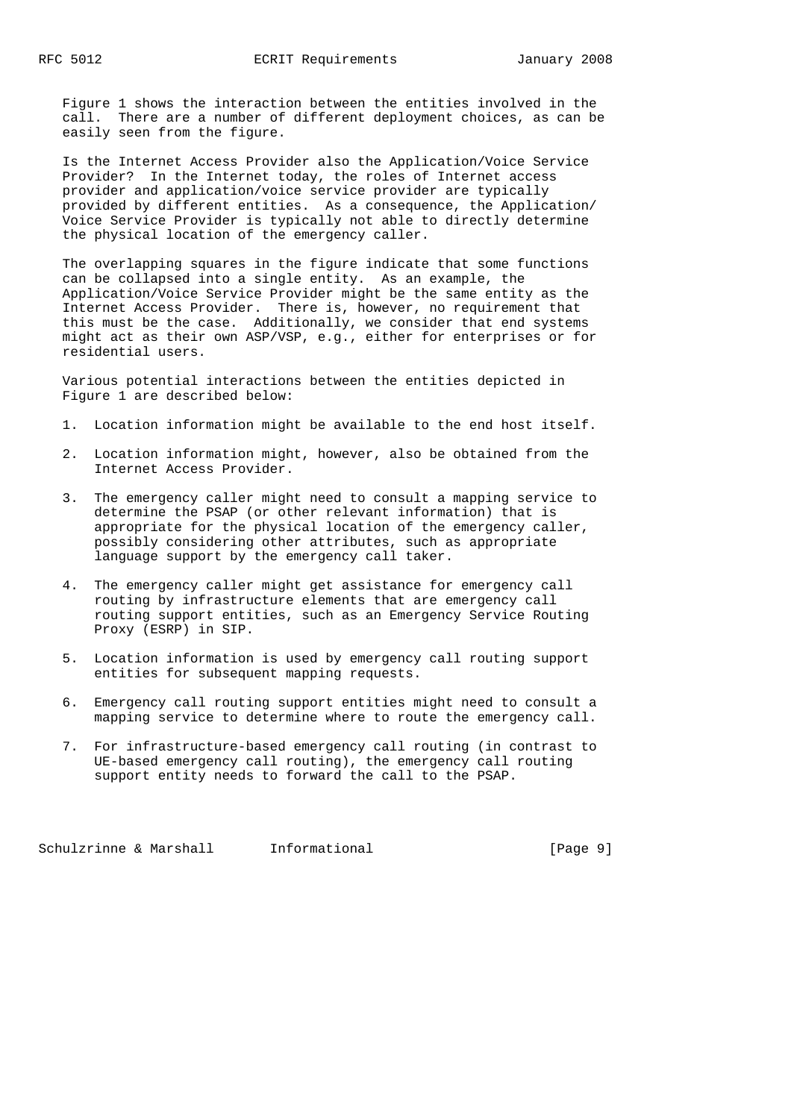Figure 1 shows the interaction between the entities involved in the call. There are a number of different deployment choices, as can be easily seen from the figure.

 Is the Internet Access Provider also the Application/Voice Service Provider? In the Internet today, the roles of Internet access provider and application/voice service provider are typically provided by different entities. As a consequence, the Application/ Voice Service Provider is typically not able to directly determine the physical location of the emergency caller.

 The overlapping squares in the figure indicate that some functions can be collapsed into a single entity. As an example, the Application/Voice Service Provider might be the same entity as the Internet Access Provider. There is, however, no requirement that this must be the case. Additionally, we consider that end systems might act as their own ASP/VSP, e.g., either for enterprises or for residential users.

 Various potential interactions between the entities depicted in Figure 1 are described below:

- 1. Location information might be available to the end host itself.
- 2. Location information might, however, also be obtained from the Internet Access Provider.
- 3. The emergency caller might need to consult a mapping service to determine the PSAP (or other relevant information) that is appropriate for the physical location of the emergency caller, possibly considering other attributes, such as appropriate language support by the emergency call taker.
- 4. The emergency caller might get assistance for emergency call routing by infrastructure elements that are emergency call routing support entities, such as an Emergency Service Routing Proxy (ESRP) in SIP.
- 5. Location information is used by emergency call routing support entities for subsequent mapping requests.
- 6. Emergency call routing support entities might need to consult a mapping service to determine where to route the emergency call.
- 7. For infrastructure-based emergency call routing (in contrast to UE-based emergency call routing), the emergency call routing support entity needs to forward the call to the PSAP.

Schulzrinne & Marshall Informational [Page 9]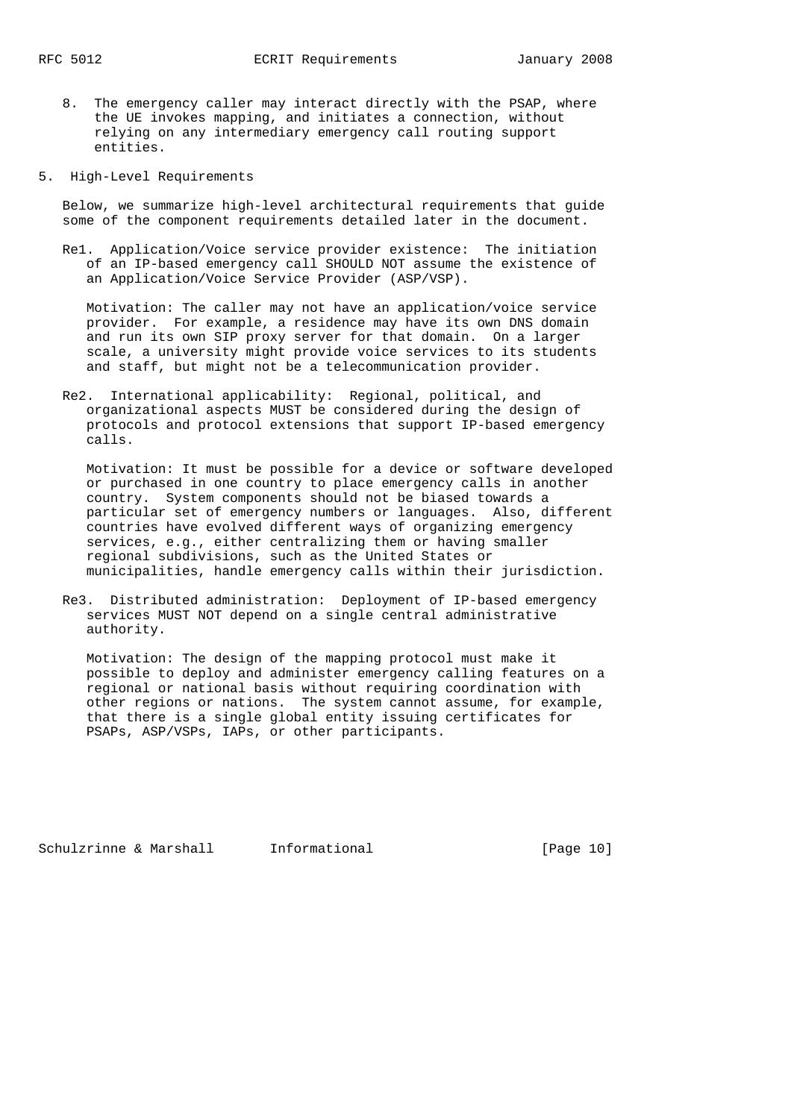- 8. The emergency caller may interact directly with the PSAP, where the UE invokes mapping, and initiates a connection, without relying on any intermediary emergency call routing support entities.
- 5. High-Level Requirements

 Below, we summarize high-level architectural requirements that guide some of the component requirements detailed later in the document.

 Re1. Application/Voice service provider existence: The initiation of an IP-based emergency call SHOULD NOT assume the existence of an Application/Voice Service Provider (ASP/VSP).

 Motivation: The caller may not have an application/voice service provider. For example, a residence may have its own DNS domain and run its own SIP proxy server for that domain. On a larger scale, a university might provide voice services to its students and staff, but might not be a telecommunication provider.

 Re2. International applicability: Regional, political, and organizational aspects MUST be considered during the design of protocols and protocol extensions that support IP-based emergency calls.

 Motivation: It must be possible for a device or software developed or purchased in one country to place emergency calls in another country. System components should not be biased towards a particular set of emergency numbers or languages. Also, different countries have evolved different ways of organizing emergency services, e.g., either centralizing them or having smaller regional subdivisions, such as the United States or municipalities, handle emergency calls within their jurisdiction.

 Re3. Distributed administration: Deployment of IP-based emergency services MUST NOT depend on a single central administrative authority.

 Motivation: The design of the mapping protocol must make it possible to deploy and administer emergency calling features on a regional or national basis without requiring coordination with other regions or nations. The system cannot assume, for example, that there is a single global entity issuing certificates for PSAPs, ASP/VSPs, IAPs, or other participants.

Schulzrinne & Marshall Informational [Page 10]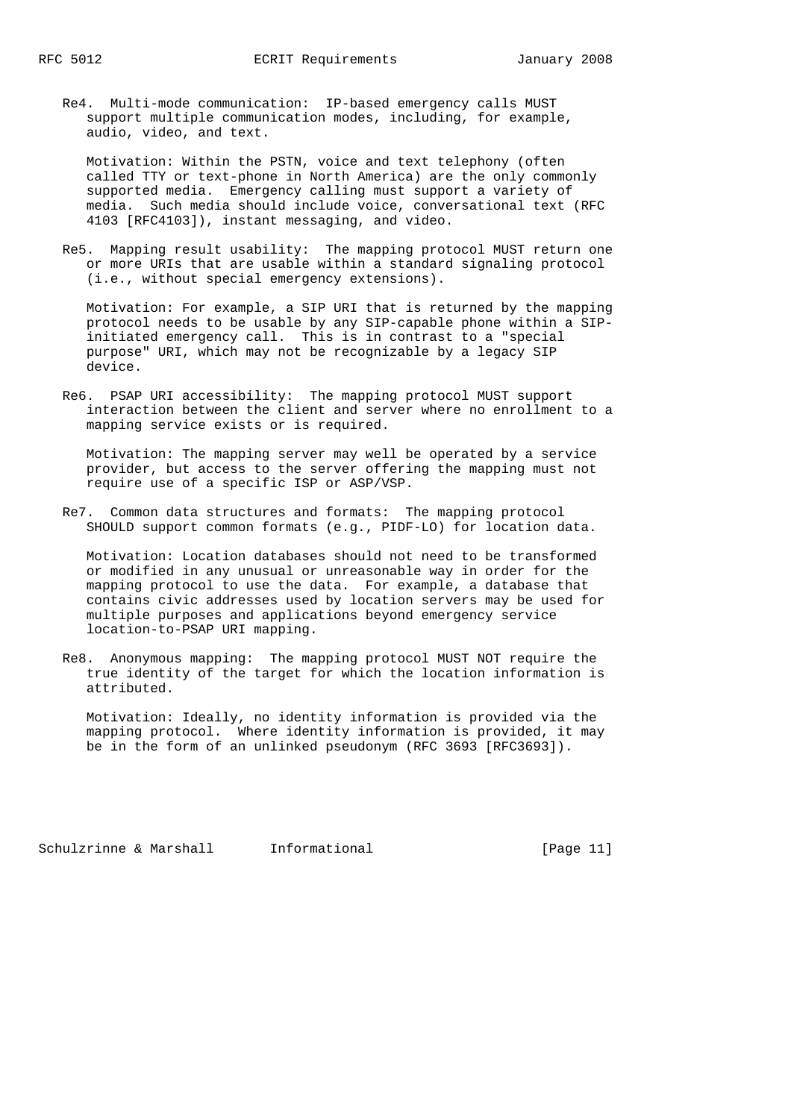Re4. Multi-mode communication: IP-based emergency calls MUST support multiple communication modes, including, for example, audio, video, and text.

 Motivation: Within the PSTN, voice and text telephony (often called TTY or text-phone in North America) are the only commonly supported media. Emergency calling must support a variety of media. Such media should include voice, conversational text (RFC 4103 [RFC4103]), instant messaging, and video.

 Re5. Mapping result usability: The mapping protocol MUST return one or more URIs that are usable within a standard signaling protocol (i.e., without special emergency extensions).

 Motivation: For example, a SIP URI that is returned by the mapping protocol needs to be usable by any SIP-capable phone within a SIP initiated emergency call. This is in contrast to a "special purpose" URI, which may not be recognizable by a legacy SIP device.

 Re6. PSAP URI accessibility: The mapping protocol MUST support interaction between the client and server where no enrollment to a mapping service exists or is required.

 Motivation: The mapping server may well be operated by a service provider, but access to the server offering the mapping must not require use of a specific ISP or ASP/VSP.

 Re7. Common data structures and formats: The mapping protocol SHOULD support common formats (e.g., PIDF-LO) for location data.

 Motivation: Location databases should not need to be transformed or modified in any unusual or unreasonable way in order for the mapping protocol to use the data. For example, a database that contains civic addresses used by location servers may be used for multiple purposes and applications beyond emergency service location-to-PSAP URI mapping.

 Re8. Anonymous mapping: The mapping protocol MUST NOT require the true identity of the target for which the location information is attributed.

 Motivation: Ideally, no identity information is provided via the mapping protocol. Where identity information is provided, it may be in the form of an unlinked pseudonym (RFC 3693 [RFC3693]).

Schulzrinne & Marshall Informational [Page 11]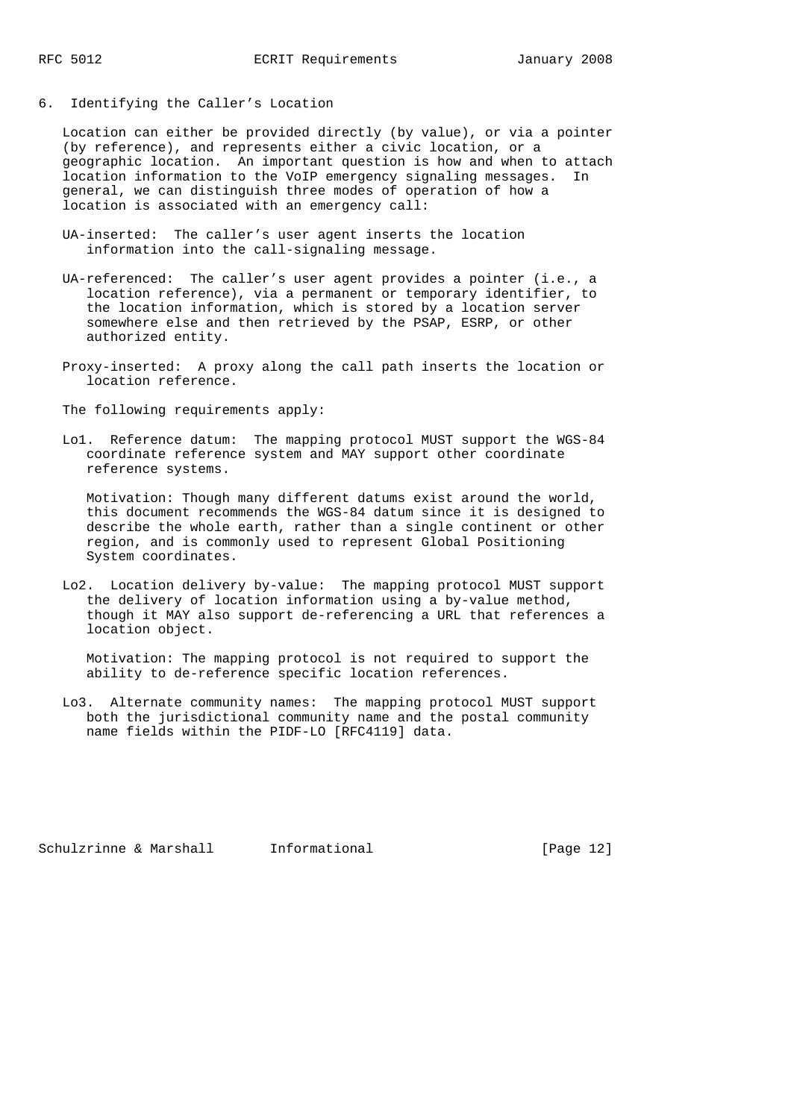6. Identifying the Caller's Location

 Location can either be provided directly (by value), or via a pointer (by reference), and represents either a civic location, or a geographic location. An important question is how and when to attach location information to the VoIP emergency signaling messages. In general, we can distinguish three modes of operation of how a location is associated with an emergency call:

- UA-inserted: The caller's user agent inserts the location information into the call-signaling message.
- UA-referenced: The caller's user agent provides a pointer (i.e., a location reference), via a permanent or temporary identifier, to the location information, which is stored by a location server somewhere else and then retrieved by the PSAP, ESRP, or other authorized entity.
- Proxy-inserted: A proxy along the call path inserts the location or location reference.
- The following requirements apply:
- Lo1. Reference datum: The mapping protocol MUST support the WGS-84 coordinate reference system and MAY support other coordinate reference systems.

 Motivation: Though many different datums exist around the world, this document recommends the WGS-84 datum since it is designed to describe the whole earth, rather than a single continent or other region, and is commonly used to represent Global Positioning System coordinates.

 Lo2. Location delivery by-value: The mapping protocol MUST support the delivery of location information using a by-value method, though it MAY also support de-referencing a URL that references a location object.

 Motivation: The mapping protocol is not required to support the ability to de-reference specific location references.

 Lo3. Alternate community names: The mapping protocol MUST support both the jurisdictional community name and the postal community name fields within the PIDF-LO [RFC4119] data.

Schulzrinne & Marshall Informational [Page 12]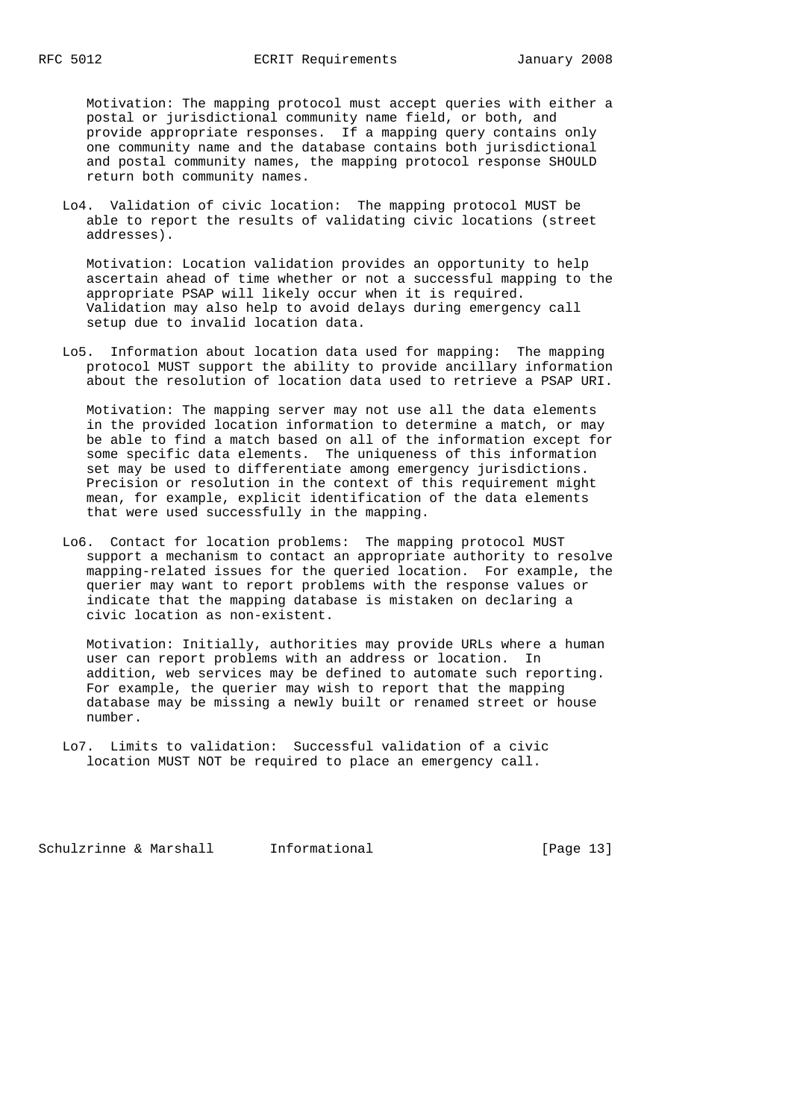Motivation: The mapping protocol must accept queries with either a postal or jurisdictional community name field, or both, and provide appropriate responses. If a mapping query contains only one community name and the database contains both jurisdictional and postal community names, the mapping protocol response SHOULD return both community names.

 Lo4. Validation of civic location: The mapping protocol MUST be able to report the results of validating civic locations (street addresses).

 Motivation: Location validation provides an opportunity to help ascertain ahead of time whether or not a successful mapping to the appropriate PSAP will likely occur when it is required. Validation may also help to avoid delays during emergency call setup due to invalid location data.

 Lo5. Information about location data used for mapping: The mapping protocol MUST support the ability to provide ancillary information about the resolution of location data used to retrieve a PSAP URI.

 Motivation: The mapping server may not use all the data elements in the provided location information to determine a match, or may be able to find a match based on all of the information except for some specific data elements. The uniqueness of this information set may be used to differentiate among emergency jurisdictions. Precision or resolution in the context of this requirement might mean, for example, explicit identification of the data elements that were used successfully in the mapping.

 Lo6. Contact for location problems: The mapping protocol MUST support a mechanism to contact an appropriate authority to resolve mapping-related issues for the queried location. For example, the querier may want to report problems with the response values or indicate that the mapping database is mistaken on declaring a civic location as non-existent.

 Motivation: Initially, authorities may provide URLs where a human user can report problems with an address or location. In addition, web services may be defined to automate such reporting. For example, the querier may wish to report that the mapping database may be missing a newly built or renamed street or house number.

Schulzrinne & Marshall Informational [Page 13]

Lo7. Limits to validation: Successful validation of a civic location MUST NOT be required to place an emergency call.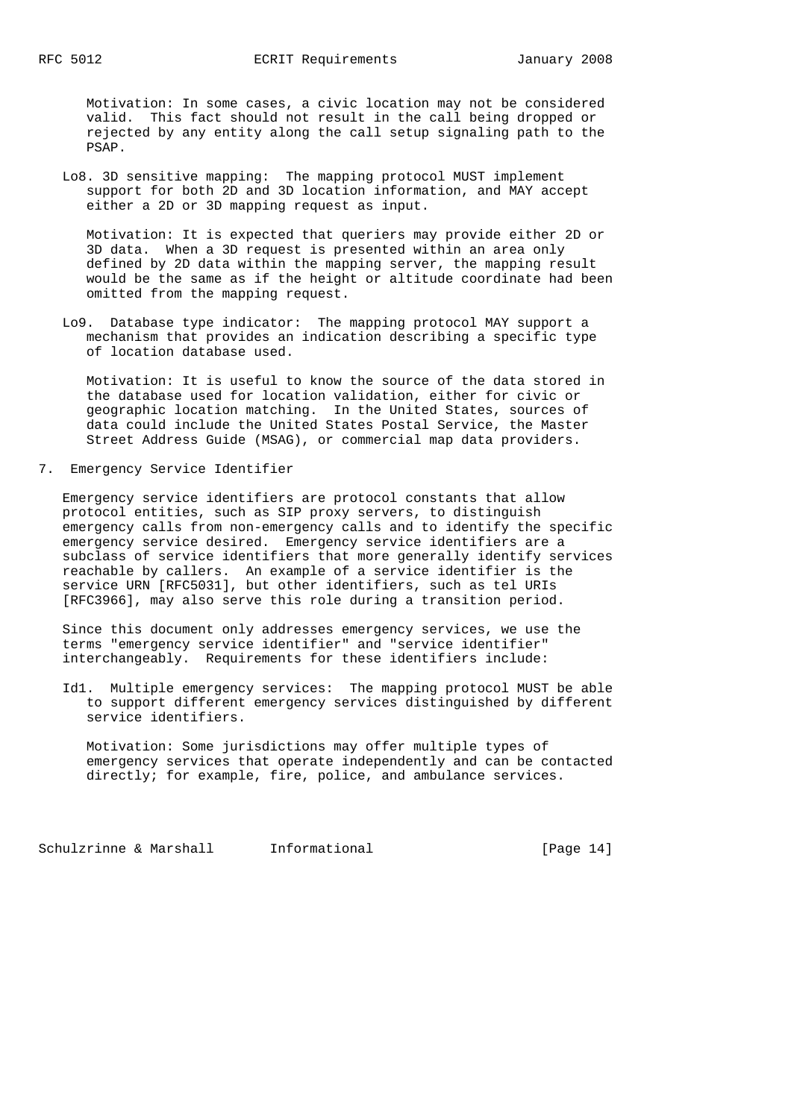Motivation: In some cases, a civic location may not be considered valid. This fact should not result in the call being dropped or rejected by any entity along the call setup signaling path to the PSAP.

 Lo8. 3D sensitive mapping: The mapping protocol MUST implement support for both 2D and 3D location information, and MAY accept either a 2D or 3D mapping request as input.

 Motivation: It is expected that queriers may provide either 2D or 3D data. When a 3D request is presented within an area only defined by 2D data within the mapping server, the mapping result would be the same as if the height or altitude coordinate had been omitted from the mapping request.

 Lo9. Database type indicator: The mapping protocol MAY support a mechanism that provides an indication describing a specific type of location database used.

 Motivation: It is useful to know the source of the data stored in the database used for location validation, either for civic or geographic location matching. In the United States, sources of data could include the United States Postal Service, the Master Street Address Guide (MSAG), or commercial map data providers.

7. Emergency Service Identifier

 Emergency service identifiers are protocol constants that allow protocol entities, such as SIP proxy servers, to distinguish emergency calls from non-emergency calls and to identify the specific emergency service desired. Emergency service identifiers are a subclass of service identifiers that more generally identify services reachable by callers. An example of a service identifier is the service URN [RFC5031], but other identifiers, such as tel URIs [RFC3966], may also serve this role during a transition period.

 Since this document only addresses emergency services, we use the terms "emergency service identifier" and "service identifier" interchangeably. Requirements for these identifiers include:

 Id1. Multiple emergency services: The mapping protocol MUST be able to support different emergency services distinguished by different service identifiers.

 Motivation: Some jurisdictions may offer multiple types of emergency services that operate independently and can be contacted directly; for example, fire, police, and ambulance services.

Schulzrinne & Marshall Informational [Page 14]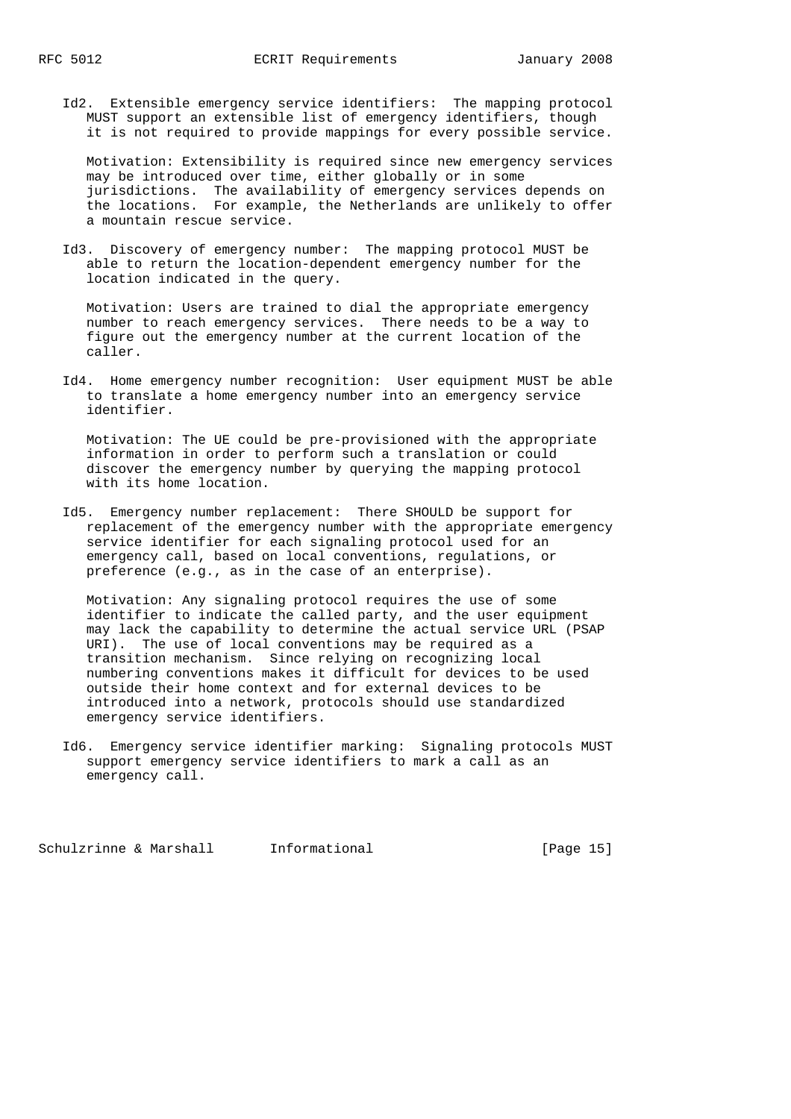Id2. Extensible emergency service identifiers: The mapping protocol MUST support an extensible list of emergency identifiers, though it is not required to provide mappings for every possible service.

 Motivation: Extensibility is required since new emergency services may be introduced over time, either globally or in some jurisdictions. The availability of emergency services depends on the locations. For example, the Netherlands are unlikely to offer a mountain rescue service.

 Id3. Discovery of emergency number: The mapping protocol MUST be able to return the location-dependent emergency number for the location indicated in the query.

 Motivation: Users are trained to dial the appropriate emergency number to reach emergency services. There needs to be a way to figure out the emergency number at the current location of the caller.

 Id4. Home emergency number recognition: User equipment MUST be able to translate a home emergency number into an emergency service identifier.

 Motivation: The UE could be pre-provisioned with the appropriate information in order to perform such a translation or could discover the emergency number by querying the mapping protocol with its home location.

 Id5. Emergency number replacement: There SHOULD be support for replacement of the emergency number with the appropriate emergency service identifier for each signaling protocol used for an emergency call, based on local conventions, regulations, or preference (e.g., as in the case of an enterprise).

 Motivation: Any signaling protocol requires the use of some identifier to indicate the called party, and the user equipment may lack the capability to determine the actual service URL (PSAP URI). The use of local conventions may be required as a transition mechanism. Since relying on recognizing local numbering conventions makes it difficult for devices to be used outside their home context and for external devices to be introduced into a network, protocols should use standardized emergency service identifiers.

 Id6. Emergency service identifier marking: Signaling protocols MUST support emergency service identifiers to mark a call as an emergency call.

Schulzrinne & Marshall Informational [Page 15]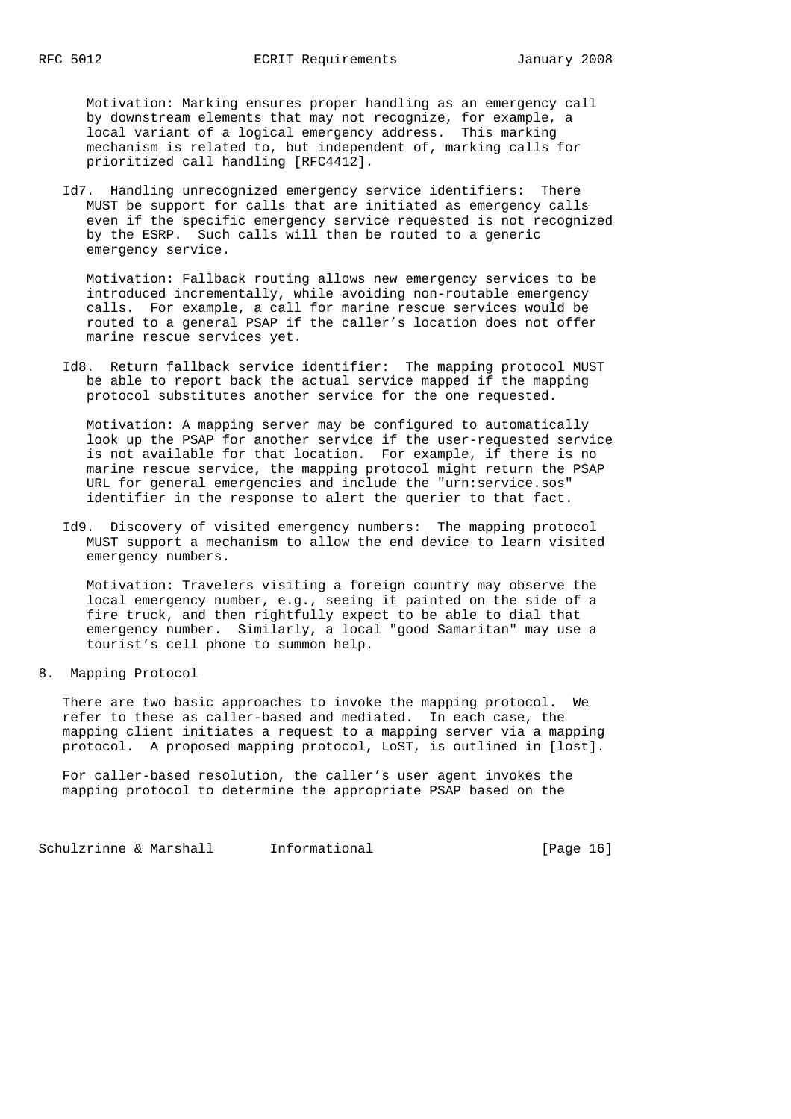Motivation: Marking ensures proper handling as an emergency call by downstream elements that may not recognize, for example, a local variant of a logical emergency address. This marking mechanism is related to, but independent of, marking calls for prioritized call handling [RFC4412].

 Id7. Handling unrecognized emergency service identifiers: There MUST be support for calls that are initiated as emergency calls even if the specific emergency service requested is not recognized by the ESRP. Such calls will then be routed to a generic emergency service.

 Motivation: Fallback routing allows new emergency services to be introduced incrementally, while avoiding non-routable emergency calls. For example, a call for marine rescue services would be routed to a general PSAP if the caller's location does not offer marine rescue services yet.

 Id8. Return fallback service identifier: The mapping protocol MUST be able to report back the actual service mapped if the mapping protocol substitutes another service for the one requested.

 Motivation: A mapping server may be configured to automatically look up the PSAP for another service if the user-requested service is not available for that location. For example, if there is no marine rescue service, the mapping protocol might return the PSAP URL for general emergencies and include the "urn:service.sos" identifier in the response to alert the querier to that fact.

 Id9. Discovery of visited emergency numbers: The mapping protocol MUST support a mechanism to allow the end device to learn visited emergency numbers.

 Motivation: Travelers visiting a foreign country may observe the local emergency number, e.g., seeing it painted on the side of a fire truck, and then rightfully expect to be able to dial that emergency number. Similarly, a local "good Samaritan" may use a tourist's cell phone to summon help.

### 8. Mapping Protocol

 There are two basic approaches to invoke the mapping protocol. We refer to these as caller-based and mediated. In each case, the mapping client initiates a request to a mapping server via a mapping protocol. A proposed mapping protocol, LoST, is outlined in [lost].

 For caller-based resolution, the caller's user agent invokes the mapping protocol to determine the appropriate PSAP based on the

Schulzrinne & Marshall Informational [Page 16]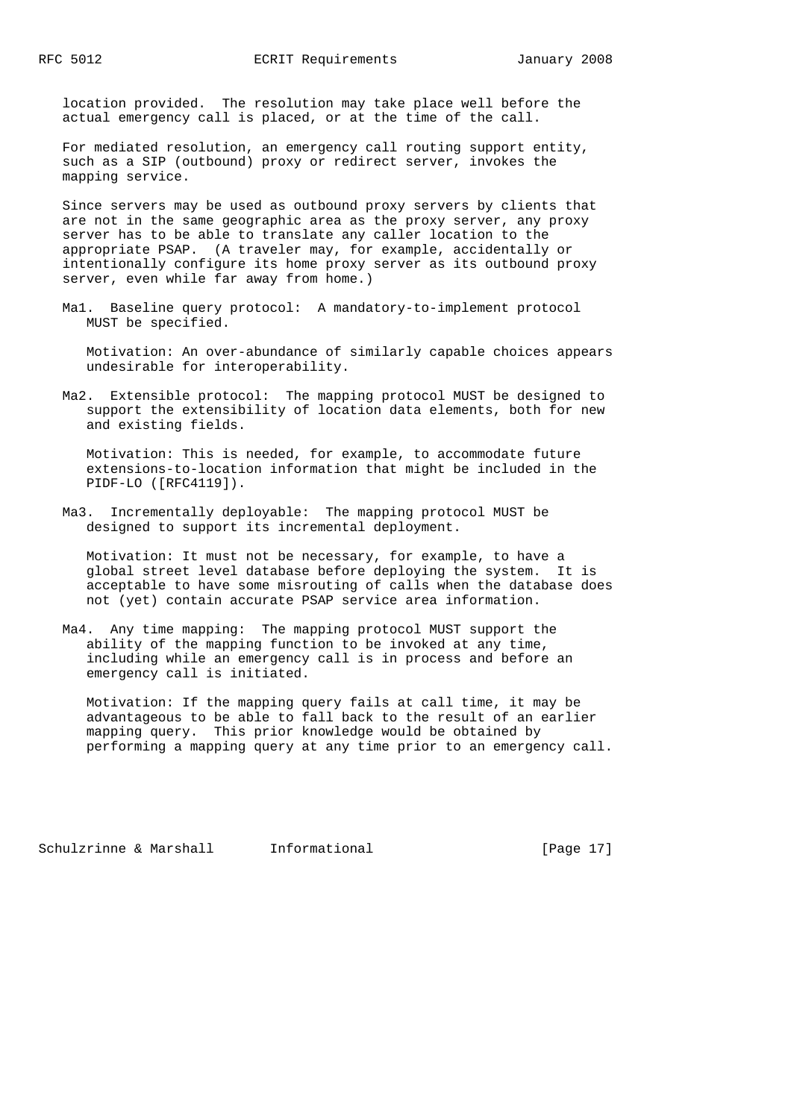location provided. The resolution may take place well before the actual emergency call is placed, or at the time of the call.

 For mediated resolution, an emergency call routing support entity, such as a SIP (outbound) proxy or redirect server, invokes the mapping service.

 Since servers may be used as outbound proxy servers by clients that are not in the same geographic area as the proxy server, any proxy server has to be able to translate any caller location to the appropriate PSAP. (A traveler may, for example, accidentally or intentionally configure its home proxy server as its outbound proxy server, even while far away from home.)

 Ma1. Baseline query protocol: A mandatory-to-implement protocol MUST be specified.

 Motivation: An over-abundance of similarly capable choices appears undesirable for interoperability.

 Ma2. Extensible protocol: The mapping protocol MUST be designed to support the extensibility of location data elements, both for new and existing fields.

 Motivation: This is needed, for example, to accommodate future extensions-to-location information that might be included in the PIDF-LO ([RFC4119]).

 Ma3. Incrementally deployable: The mapping protocol MUST be designed to support its incremental deployment.

 Motivation: It must not be necessary, for example, to have a global street level database before deploying the system. It is acceptable to have some misrouting of calls when the database does not (yet) contain accurate PSAP service area information.

 Ma4. Any time mapping: The mapping protocol MUST support the ability of the mapping function to be invoked at any time, including while an emergency call is in process and before an emergency call is initiated.

 Motivation: If the mapping query fails at call time, it may be advantageous to be able to fall back to the result of an earlier mapping query. This prior knowledge would be obtained by performing a mapping query at any time prior to an emergency call.

Schulzrinne & Marshall Informational [Page 17]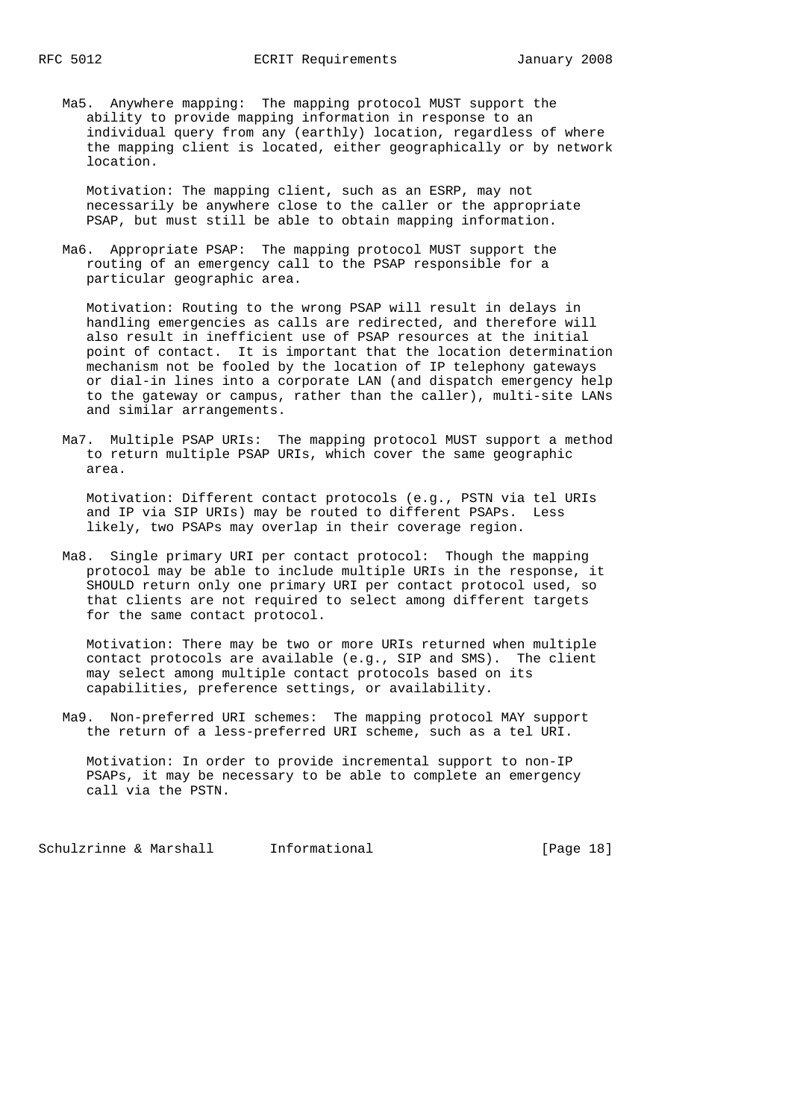Ma5. Anywhere mapping: The mapping protocol MUST support the ability to provide mapping information in response to an individual query from any (earthly) location, regardless of where the mapping client is located, either geographically or by network location.

 Motivation: The mapping client, such as an ESRP, may not necessarily be anywhere close to the caller or the appropriate PSAP, but must still be able to obtain mapping information.

 Ma6. Appropriate PSAP: The mapping protocol MUST support the routing of an emergency call to the PSAP responsible for a particular geographic area.

 Motivation: Routing to the wrong PSAP will result in delays in handling emergencies as calls are redirected, and therefore will also result in inefficient use of PSAP resources at the initial point of contact. It is important that the location determination mechanism not be fooled by the location of IP telephony gateways or dial-in lines into a corporate LAN (and dispatch emergency help to the gateway or campus, rather than the caller), multi-site LANs and similar arrangements.

 Ma7. Multiple PSAP URIs: The mapping protocol MUST support a method to return multiple PSAP URIs, which cover the same geographic area.

 Motivation: Different contact protocols (e.g., PSTN via tel URIs and IP via SIP URIs) may be routed to different PSAPs. Less likely, two PSAPs may overlap in their coverage region.

 Ma8. Single primary URI per contact protocol: Though the mapping protocol may be able to include multiple URIs in the response, it SHOULD return only one primary URI per contact protocol used, so that clients are not required to select among different targets for the same contact protocol.

 Motivation: There may be two or more URIs returned when multiple contact protocols are available (e.g., SIP and SMS). The client may select among multiple contact protocols based on its capabilities, preference settings, or availability.

 Ma9. Non-preferred URI schemes: The mapping protocol MAY support the return of a less-preferred URI scheme, such as a tel URI.

 Motivation: In order to provide incremental support to non-IP PSAPs, it may be necessary to be able to complete an emergency call via the PSTN.

Schulzrinne & Marshall Informational [Page 18]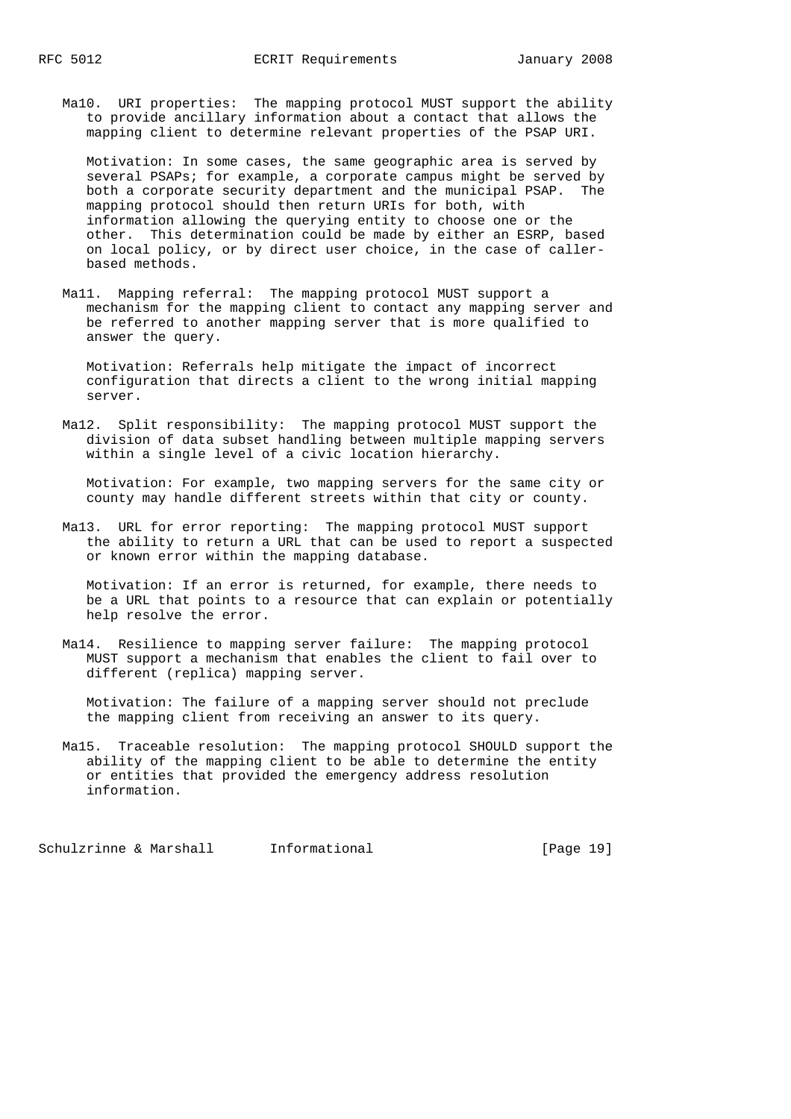Ma10. URI properties: The mapping protocol MUST support the ability to provide ancillary information about a contact that allows the mapping client to determine relevant properties of the PSAP URI.

 Motivation: In some cases, the same geographic area is served by several PSAPs; for example, a corporate campus might be served by both a corporate security department and the municipal PSAP. The mapping protocol should then return URIs for both, with information allowing the querying entity to choose one or the other. This determination could be made by either an ESRP, based on local policy, or by direct user choice, in the case of caller based methods.

 Ma11. Mapping referral: The mapping protocol MUST support a mechanism for the mapping client to contact any mapping server and be referred to another mapping server that is more qualified to answer the query.

 Motivation: Referrals help mitigate the impact of incorrect configuration that directs a client to the wrong initial mapping server.

 Ma12. Split responsibility: The mapping protocol MUST support the division of data subset handling between multiple mapping servers within a single level of a civic location hierarchy.

 Motivation: For example, two mapping servers for the same city or county may handle different streets within that city or county.

 Ma13. URL for error reporting: The mapping protocol MUST support the ability to return a URL that can be used to report a suspected or known error within the mapping database.

 Motivation: If an error is returned, for example, there needs to be a URL that points to a resource that can explain or potentially help resolve the error.

 Ma14. Resilience to mapping server failure: The mapping protocol MUST support a mechanism that enables the client to fail over to different (replica) mapping server.

 Motivation: The failure of a mapping server should not preclude the mapping client from receiving an answer to its query.

 Ma15. Traceable resolution: The mapping protocol SHOULD support the ability of the mapping client to be able to determine the entity or entities that provided the emergency address resolution information.

Schulzrinne & Marshall Informational [Page 19]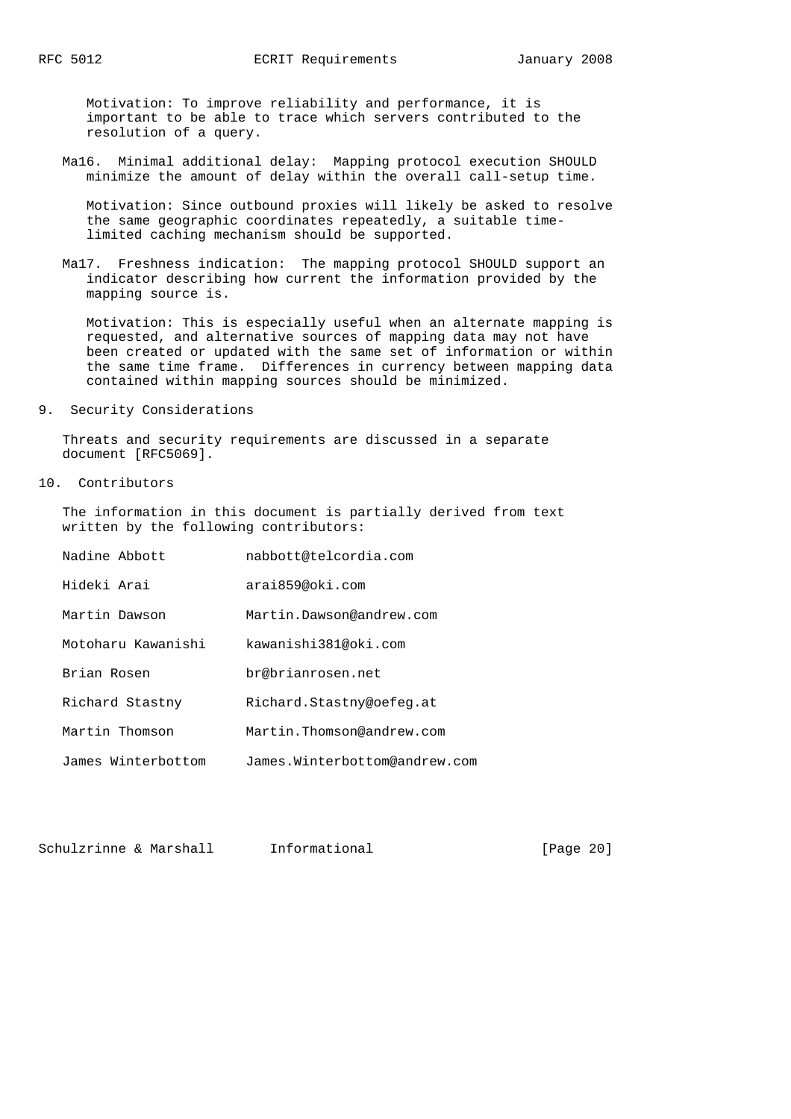Motivation: To improve reliability and performance, it is important to be able to trace which servers contributed to the resolution of a query.

 Ma16. Minimal additional delay: Mapping protocol execution SHOULD minimize the amount of delay within the overall call-setup time.

 Motivation: Since outbound proxies will likely be asked to resolve the same geographic coordinates repeatedly, a suitable time limited caching mechanism should be supported.

 Ma17. Freshness indication: The mapping protocol SHOULD support an indicator describing how current the information provided by the mapping source is.

 Motivation: This is especially useful when an alternate mapping is requested, and alternative sources of mapping data may not have been created or updated with the same set of information or within the same time frame. Differences in currency between mapping data contained within mapping sources should be minimized.

9. Security Considerations

 Threats and security requirements are discussed in a separate document [RFC5069].

10. Contributors

 The information in this document is partially derived from text written by the following contributors:

| Nadine Abbott      | nabbott@telcordia.com         |
|--------------------|-------------------------------|
| Hideki Arai        | arai859@oki.com               |
| Martin Dawson      | Martin Dawson@andrew.com      |
| Motoharu Kawanishi | kawanishi381@oki.com          |
| Brian Rosen        | br@brianrosen.net             |
| Richard Stastny    | Richard.Stastny@oefeq.at      |
| Martin Thomson     | Martin.Thomson@andrew.com     |
| James Winterbottom | James.Winterbottom@andrew.com |

Schulzrinne & Marshall Informational [Page 20]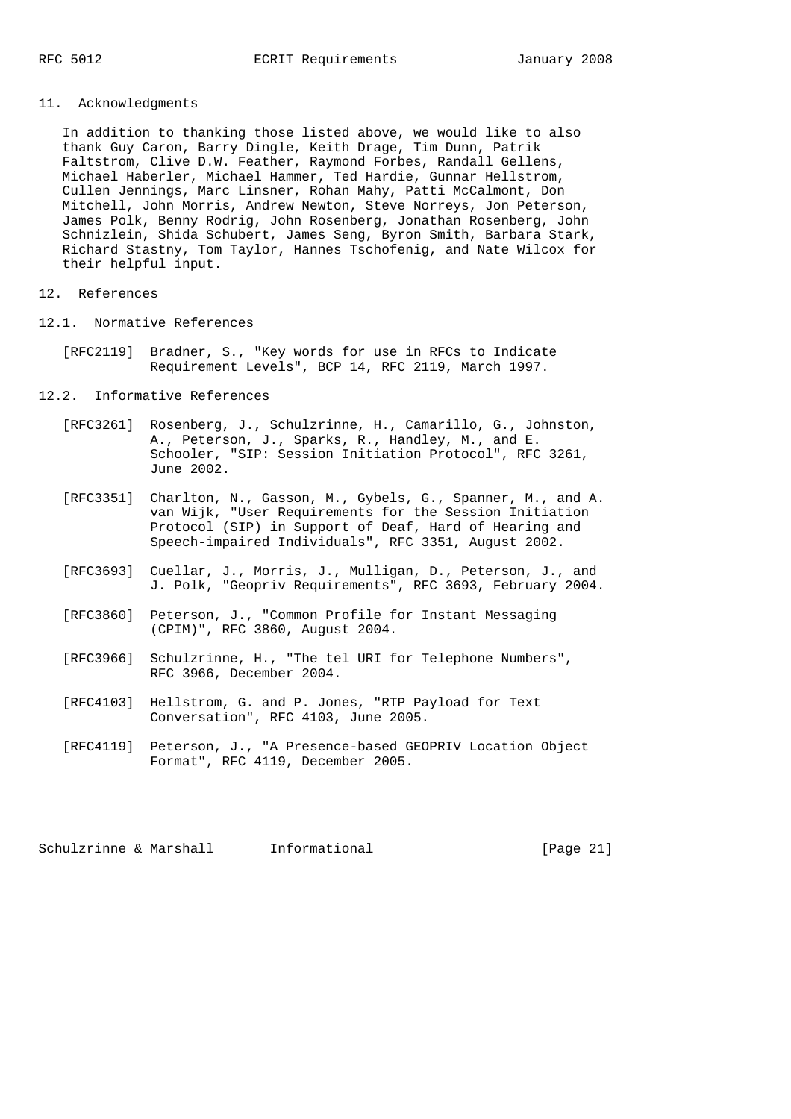# 11. Acknowledgments

 In addition to thanking those listed above, we would like to also thank Guy Caron, Barry Dingle, Keith Drage, Tim Dunn, Patrik Faltstrom, Clive D.W. Feather, Raymond Forbes, Randall Gellens, Michael Haberler, Michael Hammer, Ted Hardie, Gunnar Hellstrom, Cullen Jennings, Marc Linsner, Rohan Mahy, Patti McCalmont, Don Mitchell, John Morris, Andrew Newton, Steve Norreys, Jon Peterson, James Polk, Benny Rodrig, John Rosenberg, Jonathan Rosenberg, John Schnizlein, Shida Schubert, James Seng, Byron Smith, Barbara Stark, Richard Stastny, Tom Taylor, Hannes Tschofenig, and Nate Wilcox for their helpful input.

#### 12. References

- 12.1. Normative References
	- [RFC2119] Bradner, S., "Key words for use in RFCs to Indicate Requirement Levels", BCP 14, RFC 2119, March 1997.

#### 12.2. Informative References

- [RFC3261] Rosenberg, J., Schulzrinne, H., Camarillo, G., Johnston, A., Peterson, J., Sparks, R., Handley, M., and E. Schooler, "SIP: Session Initiation Protocol", RFC 3261, June 2002.
- [RFC3351] Charlton, N., Gasson, M., Gybels, G., Spanner, M., and A. van Wijk, "User Requirements for the Session Initiation Protocol (SIP) in Support of Deaf, Hard of Hearing and Speech-impaired Individuals", RFC 3351, August 2002.
- [RFC3693] Cuellar, J., Morris, J., Mulligan, D., Peterson, J., and J. Polk, "Geopriv Requirements", RFC 3693, February 2004.
- [RFC3860] Peterson, J., "Common Profile for Instant Messaging (CPIM)", RFC 3860, August 2004.
- [RFC3966] Schulzrinne, H., "The tel URI for Telephone Numbers", RFC 3966, December 2004.
- [RFC4103] Hellstrom, G. and P. Jones, "RTP Payload for Text Conversation", RFC 4103, June 2005.
- [RFC4119] Peterson, J., "A Presence-based GEOPRIV Location Object Format", RFC 4119, December 2005.

Schulzrinne & Marshall Informational [Page 21]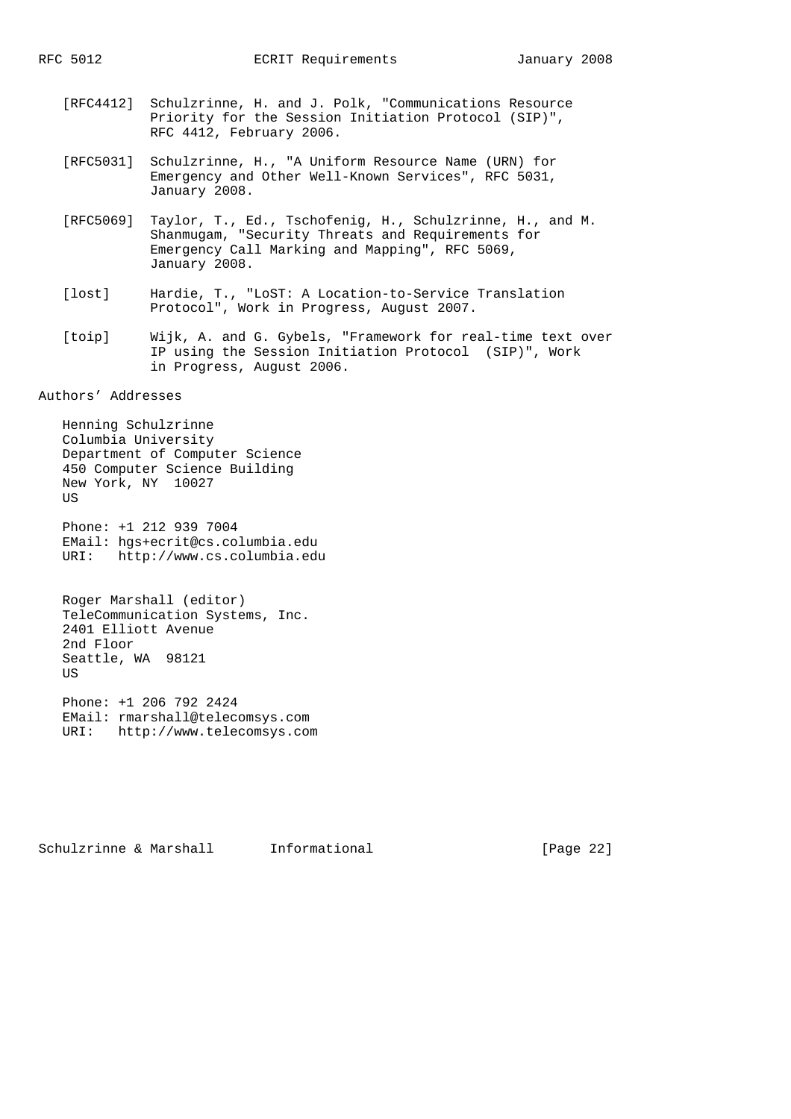- [RFC4412] Schulzrinne, H. and J. Polk, "Communications Resource Priority for the Session Initiation Protocol (SIP)", RFC 4412, February 2006.
- [RFC5031] Schulzrinne, H., "A Uniform Resource Name (URN) for Emergency and Other Well-Known Services", RFC 5031, January 2008.
- [RFC5069] Taylor, T., Ed., Tschofenig, H., Schulzrinne, H., and M. Shanmugam, "Security Threats and Requirements for Emergency Call Marking and Mapping", RFC 5069, January 2008.
- [lost] Hardie, T., "LoST: A Location-to-Service Translation Protocol", Work in Progress, August 2007.
- [toip] Wijk, A. and G. Gybels, "Framework for real-time text over IP using the Session Initiation Protocol (SIP)", Work in Progress, August 2006.

Authors' Addresses

 Henning Schulzrinne Columbia University Department of Computer Science 450 Computer Science Building New York, NY 10027 **TTS** 

 Phone: +1 212 939 7004 EMail: hgs+ecrit@cs.columbia.edu URI: http://www.cs.columbia.edu

 Roger Marshall (editor) TeleCommunication Systems, Inc. 2401 Elliott Avenue 2nd Floor Seattle, WA 98121 **US** 

 Phone: +1 206 792 2424 EMail: rmarshall@telecomsys.com URI: http://www.telecomsys.com

Schulzrinne & Marshall Informational [Page 22]